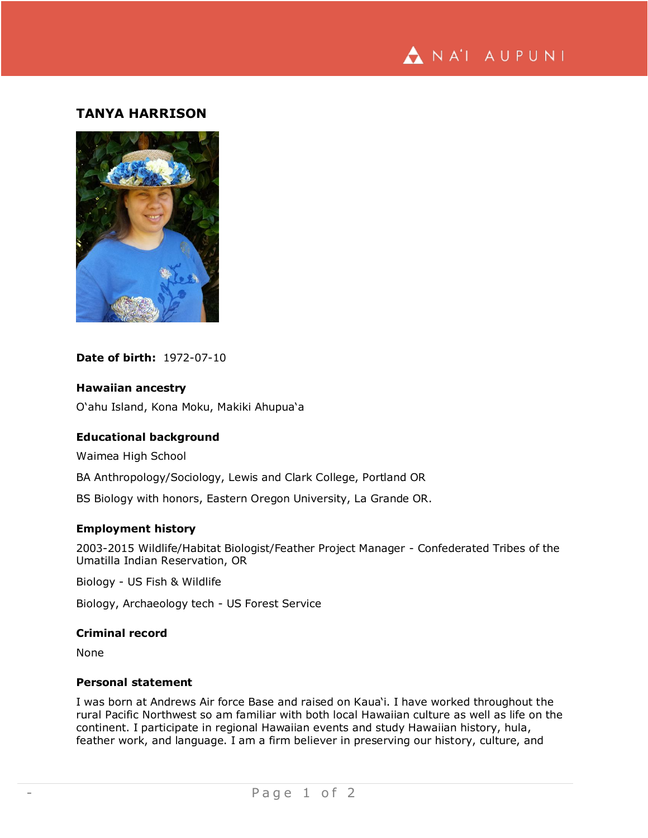

# **TANYA HARRISON**



## **Date of birth:** 1972-07-10

### **Hawaiian ancestry**

O'ahu Island, Kona Moku, Makiki Ahupua'a

### **Educational background**

Waimea High School

BA Anthropology/Sociology, Lewis and Clark College, Portland OR

BS Biology with honors, Eastern Oregon University, La Grande OR.

# **Employment history**

2003-2015 Wildlife/Habitat Biologist/Feather Project Manager - Confederated Tribes of the Umatilla Indian Reservation, OR

Biology - US Fish & Wildlife

Biology, Archaeology tech - US Forest Service

### **Criminal record**

None

# **Personal statement**

I was born at Andrews Air force Base and raised on Kaua'i. I have worked throughout the rural Pacific Northwest so am familiar with both local Hawaiian culture as well as life on the continent. I participate in regional Hawaiian events and study Hawaiian history, hula, feather work, and language. I am a firm believer in preserving our history, culture, and